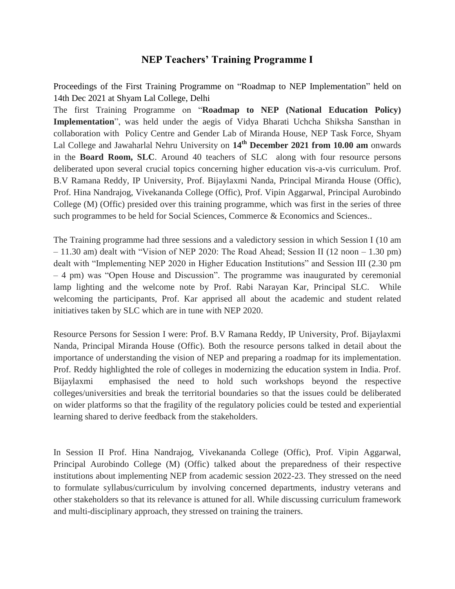## **NEP Teachers' Training Programme I**

Proceedings of the First Training Programme on "Roadmap to NEP Implementation" held on 14th Dec 2021 at Shyam Lal College, Delhi

The first Training Programme on "**Roadmap to NEP (National Education Policy) Implementation**", was held under the aegis of Vidya Bharati Uchcha Shiksha Sansthan in collaboration with Policy Centre and Gender Lab of Miranda House, NEP Task Force, Shyam Lal College and Jawaharlal Nehru University on **14th December 2021 from 10.00 am** onwards in the **Board Room, SLC**. Around 40 teachers of SLC along with four resource persons deliberated upon several crucial topics concerning higher education vis-a-vis curriculum. Prof. B.V Ramana Reddy, IP University, Prof. Bijaylaxmi Nanda, Principal Miranda House (Offic), Prof. Hina Nandrajog, Vivekananda College (Offic), Prof. Vipin Aggarwal, Principal Aurobindo College (M) (Offic) presided over this training programme, which was first in the series of three such programmes to be held for Social Sciences, Commerce & Economics and Sciences..

The Training programme had three sessions and a valedictory session in which Session I (10 am – 11.30 am) dealt with "Vision of NEP 2020: The Road Ahead; Session II (12 noon – 1.30 pm) dealt with "Implementing NEP 2020 in Higher Education Institutions" and Session III (2.30 pm – 4 pm) was "Open House and Discussion". The programme was inaugurated by ceremonial lamp lighting and the welcome note by Prof. Rabi Narayan Kar, Principal SLC. While welcoming the participants, Prof. Kar apprised all about the academic and student related initiatives taken by SLC which are in tune with NEP 2020.

Resource Persons for Session I were: Prof. B.V Ramana Reddy, IP University, Prof. Bijaylaxmi Nanda, Principal Miranda House (Offic). Both the resource persons talked in detail about the importance of understanding the vision of NEP and preparing a roadmap for its implementation. Prof. Reddy highlighted the role of colleges in modernizing the education system in India. Prof. Bijaylaxmi emphasised the need to hold such workshops beyond the respective colleges/universities and break the territorial boundaries so that the issues could be deliberated on wider platforms so that the fragility of the regulatory policies could be tested and experiential learning shared to derive feedback from the stakeholders.

In Session II Prof. Hina Nandrajog, Vivekananda College (Offic), Prof. Vipin Aggarwal, Principal Aurobindo College (M) (Offic) talked about the preparedness of their respective institutions about implementing NEP from academic session 2022-23. They stressed on the need to formulate syllabus/curriculum by involving concerned departments, industry veterans and other stakeholders so that its relevance is attuned for all. While discussing curriculum framework and multi-disciplinary approach, they stressed on training the trainers.